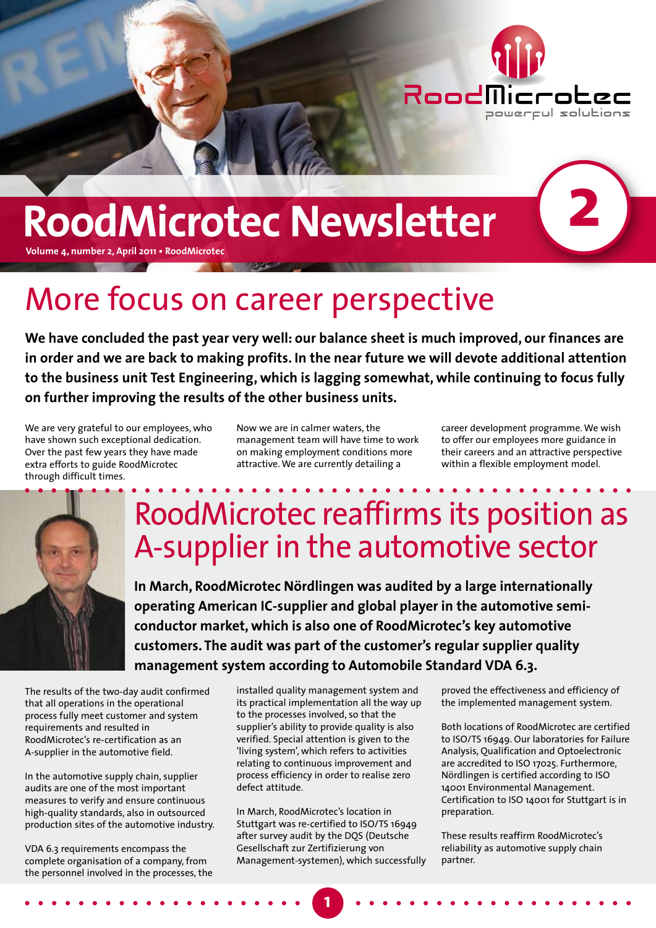

# **RoodMicrotec Newsletter**

**Volume 4, number 2, April 2011 • RoodMicrotec**

### More focus on career perspective

**We have concluded the past year very well: our balance sheet is much improved, our finances are in order and we are back to making profits. In the near future we will devote additional attention to the business unit Test Engineering, which is lagging somewhat, while continuing to focus fully on further improving the results of the other business units.**

We are very grateful to our employees, who have shown such exceptional dedication. Over the past few years they have made extra efforts to guide RoodMicrotec through difficult times.

Now we are in calmer waters, the management team will have time to work on making employment conditions more attractive. We are currently detailing a

career development programme. We wish to offer our employees more guidance in their careers and an attractive perspective within a flexible employment model.

**2**



## RoodMicrotec reaffirms its position as A-supplier in the automotive sector

**In March, RoodMicrotec Nördlingen was audited by a large internationally operating American IC-supplier and global player in the automotive semiconductor market, which is also one of RoodMicrotec's key automotive customers. The audit was part of the customer's regular supplier quality management system according to Automobile Standard VDA 6.3.**

The results of the two-day audit confirmed that all operations in the operational process fully meet customer and system requirements and resulted in RoodMicrotec's re-certification as an A-supplier in the automotive field.

In the automotive supply chain, supplier audits are one of the most important measures to verify and ensure continuous high-quality standards, also in outsourced production sites of the automotive industry.

VDA 6.3 requirements encompass the complete organisation of a company, from the personnel involved in the processes, the installed quality management system and its practical implementation all the way up to the processes involved, so that the supplier's ability to provide quality is also verified. Special attention is given to the 'living system', which refers to activities relating to continuous improvement and process efficiency in order to realise zero defect attitude.

In March, RoodMicrotec's location in Stuttgart was re-certified to ISO/TS 16949 after survey audit by the DQS (Deutsche Gesellschaft zur Zertifizierung von Management-systemen), which successfully

**1**

proved the effectiveness and efficiency of the implemented management system.

Both locations of RoodMicrotec are certified to ISO/TS 16949. Our laboratories for Failure Analysis, Qualification and Optoelectronic are accredited to ISO 17025. Furthermore, Nördlingen is certified according to ISO 14001 Environmental Management. Certification to ISO 14001 for Stuttgart is in preparation.

These results reaffirm RoodMicrotec's reliability as automotive supply chain partner.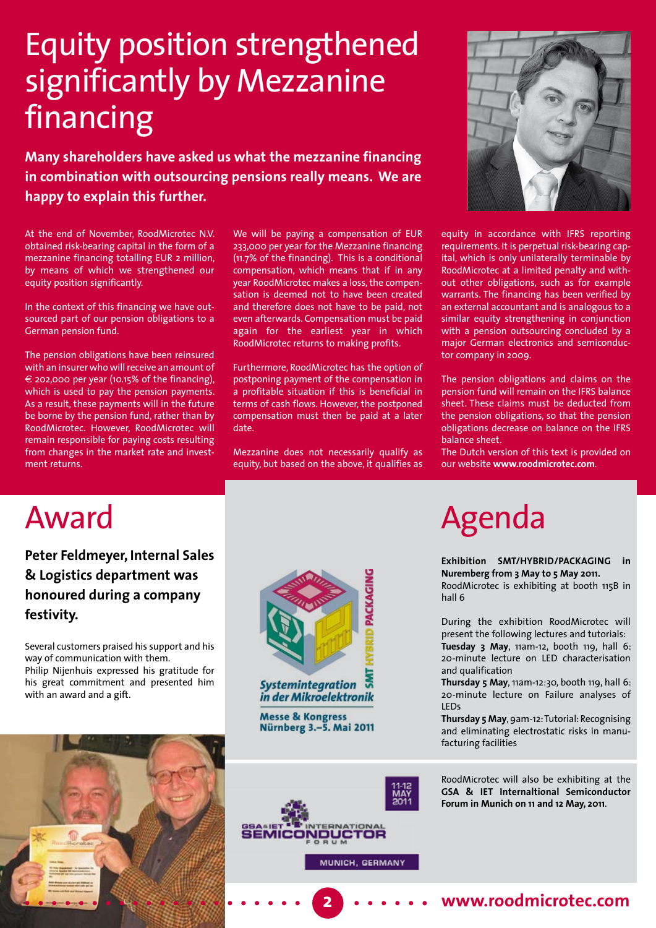## Equity position strengthened significantly by Mezzanine financing

**Many shareholders have asked us what the mezzanine financing in combination with outsourcing pensions really means. We are happy to explain this further.**

At the end of November, RoodMicrotec N.V. obtained risk-bearing capital in the form of a mezzanine financing totalling EUR 2 million, by means of which we strengthened our equity position significantly.

In the context of this financing we have outsourced part of our pension obligations to a German pension fund.

The pension obligations have been reinsured with an insurer who will receive an amount of € 202,000 per year (10.15% of the financing), which is used to pay the pension payments. As a result, these payments will in the future be borne by the pension fund, rather than by RoodMicrotec. However, RoodMicrotec will remain responsible for paying costs resulting from changes in the market rate and investment returns.

We will be paying a compensation of EUR 233,000 per year for the Mezzanine financing (11.7% of the financing). This is a conditional compensation, which means that if in any year RoodMicrotec makes a loss, the compensation is deemed not to have been created and therefore does not have to be paid, not even afterwards. Compensation must be paid again for the earliest year in which RoodMicrotec returns to making profits.

Furthermore, RoodMicrotec has the option of postponing payment of the compensation in a profitable situation if this is beneficial in terms of cash flows. However, the postponed compensation must then be paid at a later date.

Mezzanine does not necessarily qualify as equity, but based on the above, it qualifies as



equity in accordance with IFRS reporting requirements. It is perpetual risk-bearing capital, which is only unilaterally terminable by RoodMicrotec at a limited penalty and without other obligations, such as for example warrants. The financing has been verified by an external accountant and is analogous to a similar equity strengthening in conjunction with a pension outsourcing concluded by a major German electronics and semiconductor company in 2009.

The pension obligations and claims on the pension fund will remain on the IFRS balance sheet. These claims must be deducted from the pension obligations, so that the pension obligations decrease on balance on the IFRS balance sheet.

The Dutch version of this text is provided on our website **www.roodmicrotec.com**.

#### Award

**Peter Feldmeyer, Internal Sales & Logistics department was honoured during a company festivity.** 

Several customers praised his support and his way of communication with them. Philip Nijenhuis expressed his gratitude for his great commitment and presented him with an award and a gift.



**Systemintegration** in der Mikroelektronik

**Messe & Kongress** Nürnberg 3.-5. Mai 2011



MUNICH, GERMANY



# Agenda

**Exhibition SMT/HYBRID/PACKAGING in Nuremberg from 3 May to 5 May 2011.** 

RoodMicrotec is exhibiting at booth 115B in hall 6

During the exhibition RoodMicrotec will present the following lectures and tutorials: **Tuesday 3 May**, 11am-12, booth 119, hall 6: 20-minute lecture on LED characterisation and qualification

**Thursday 5 May**, 11am-12:30, booth 119, hall 6: 20-minute lecture on Failure analyses of LEDs

**Thursday 5 May**, 9am-12: Tutorial: Recognising and eliminating electrostatic risks in manufacturing facilities

RoodMicrotec will also be exhibiting at the **GSA & IET Internaltional Semiconductor Forum in Munich on 11 and 12 May, 2011**.